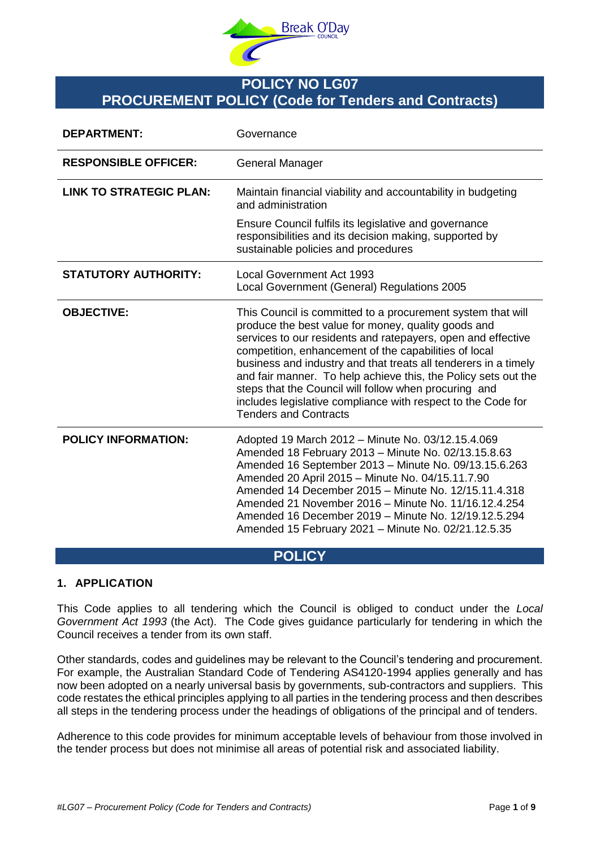

# **POLICY NO LG07 PROCUREMENT POLICY (Code for Tenders and Contracts)**

| <b>DEPARTMENT:</b>             | Governance                                                                                                                                                                                                                                                                                                                                                                                                                                                                                                                                |  |  |  |  |  |
|--------------------------------|-------------------------------------------------------------------------------------------------------------------------------------------------------------------------------------------------------------------------------------------------------------------------------------------------------------------------------------------------------------------------------------------------------------------------------------------------------------------------------------------------------------------------------------------|--|--|--|--|--|
| <b>RESPONSIBLE OFFICER:</b>    | General Manager                                                                                                                                                                                                                                                                                                                                                                                                                                                                                                                           |  |  |  |  |  |
| <b>LINK TO STRATEGIC PLAN:</b> | Maintain financial viability and accountability in budgeting<br>and administration                                                                                                                                                                                                                                                                                                                                                                                                                                                        |  |  |  |  |  |
|                                | Ensure Council fulfils its legislative and governance<br>responsibilities and its decision making, supported by<br>sustainable policies and procedures                                                                                                                                                                                                                                                                                                                                                                                    |  |  |  |  |  |
| <b>STATUTORY AUTHORITY:</b>    | <b>Local Government Act 1993</b><br>Local Government (General) Regulations 2005                                                                                                                                                                                                                                                                                                                                                                                                                                                           |  |  |  |  |  |
| <b>OBJECTIVE:</b>              | This Council is committed to a procurement system that will<br>produce the best value for money, quality goods and<br>services to our residents and ratepayers, open and effective<br>competition, enhancement of the capabilities of local<br>business and industry and that treats all tenderers in a timely<br>and fair manner. To help achieve this, the Policy sets out the<br>steps that the Council will follow when procuring and<br>includes legislative compliance with respect to the Code for<br><b>Tenders and Contracts</b> |  |  |  |  |  |
| <b>POLICY INFORMATION:</b>     | Adopted 19 March 2012 - Minute No. 03/12.15.4.069<br>Amended 18 February 2013 - Minute No. 02/13.15.8.63<br>Amended 16 September 2013 - Minute No. 09/13.15.6.263<br>Amended 20 April 2015 - Minute No. 04/15.11.7.90<br>Amended 14 December 2015 - Minute No. 12/15.11.4.318<br>Amended 21 November 2016 - Minute No. 11/16.12.4.254<br>Amended 16 December 2019 - Minute No. 12/19.12.5.294<br>Amended 15 February 2021 - Minute No. 02/21.12.5.35                                                                                      |  |  |  |  |  |

## **POLICY**

#### **1. APPLICATION**

This Code applies to all tendering which the Council is obliged to conduct under the *Local Government Act 1993* (the Act). The Code gives guidance particularly for tendering in which the Council receives a tender from its own staff.

Other standards, codes and guidelines may be relevant to the Council's tendering and procurement. For example, the Australian Standard Code of Tendering AS4120-1994 applies generally and has now been adopted on a nearly universal basis by governments, sub-contractors and suppliers. This code restates the ethical principles applying to all parties in the tendering process and then describes all steps in the tendering process under the headings of obligations of the principal and of tenders.

Adherence to this code provides for minimum acceptable levels of behaviour from those involved in the tender process but does not minimise all areas of potential risk and associated liability.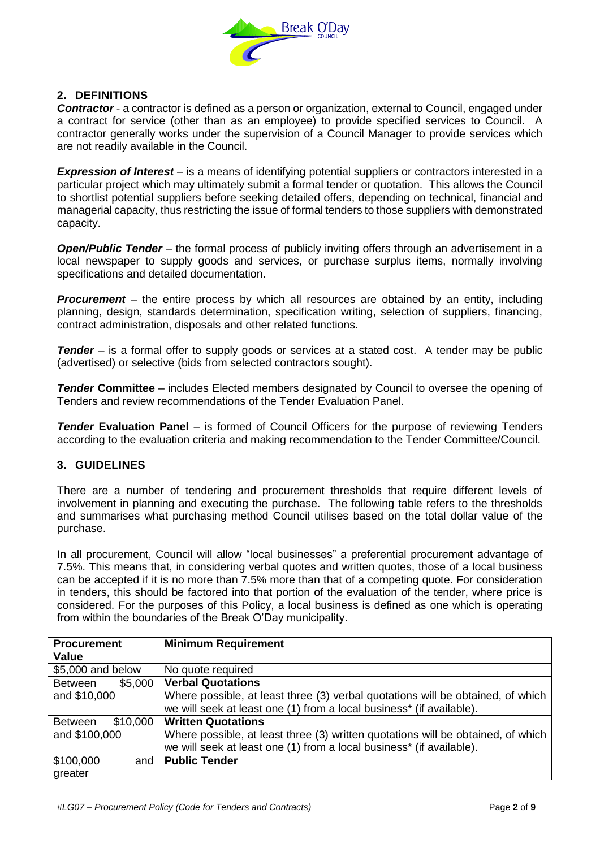

#### **2. DEFINITIONS**

*Contractor* - a contractor is defined as a person or organization, external to Council, engaged under a contract for service (other than as an employee) to provide specified services to Council. A contractor generally works under the supervision of a Council Manager to provide services which are not readily available in the Council.

*Expression of Interest* – is a means of identifying potential suppliers or contractors interested in a particular project which may ultimately submit a formal tender or quotation. This allows the Council to shortlist potential suppliers before seeking detailed offers, depending on technical, financial and managerial capacity, thus restricting the issue of formal tenders to those suppliers with demonstrated capacity.

*Open/Public Tender* – the formal process of publicly inviting offers through an advertisement in a local newspaper to supply goods and services, or purchase surplus items, normally involving specifications and detailed documentation.

**Procurement** – the entire process by which all resources are obtained by an entity, including planning, design, standards determination, specification writing, selection of suppliers, financing, contract administration, disposals and other related functions.

*Tender* – is a formal offer to supply goods or services at a stated cost. A tender may be public (advertised) or selective (bids from selected contractors sought).

**Tender Committee** – includes Elected members designated by Council to oversee the opening of Tenders and review recommendations of the Tender Evaluation Panel.

*Tender* **Evaluation Panel** – is formed of Council Officers for the purpose of reviewing Tenders according to the evaluation criteria and making recommendation to the Tender Committee/Council.

#### **3. GUIDELINES**

There are a number of tendering and procurement thresholds that require different levels of involvement in planning and executing the purchase. The following table refers to the thresholds and summarises what purchasing method Council utilises based on the total dollar value of the purchase.

In all procurement, Council will allow "local businesses" a preferential procurement advantage of 7.5%. This means that, in considering verbal quotes and written quotes, those of a local business can be accepted if it is no more than 7.5% more than that of a competing quote. For consideration in tenders, this should be factored into that portion of the evaluation of the tender, where price is considered. For the purposes of this Policy, a local business is defined as one which is operating from within the boundaries of the Break O'Day municipality.

| <b>Procurement</b>         | <b>Minimum Requirement</b>                                                       |  |  |  |  |  |
|----------------------------|----------------------------------------------------------------------------------|--|--|--|--|--|
| <b>Value</b>               |                                                                                  |  |  |  |  |  |
| \$5,000 and below          | No quote required                                                                |  |  |  |  |  |
| \$5,000<br>Between         | <b>Verbal Quotations</b>                                                         |  |  |  |  |  |
| and \$10,000               | Where possible, at least three (3) verbal quotations will be obtained, of which  |  |  |  |  |  |
|                            | we will seek at least one (1) from a local business* (if available).             |  |  |  |  |  |
| \$10,000<br><b>Between</b> | <b>Written Quotations</b>                                                        |  |  |  |  |  |
| and \$100,000              | Where possible, at least three (3) written quotations will be obtained, of which |  |  |  |  |  |
|                            | we will seek at least one (1) from a local business* (if available).             |  |  |  |  |  |
| \$100,000<br>and           | <b>Public Tender</b>                                                             |  |  |  |  |  |
| greater                    |                                                                                  |  |  |  |  |  |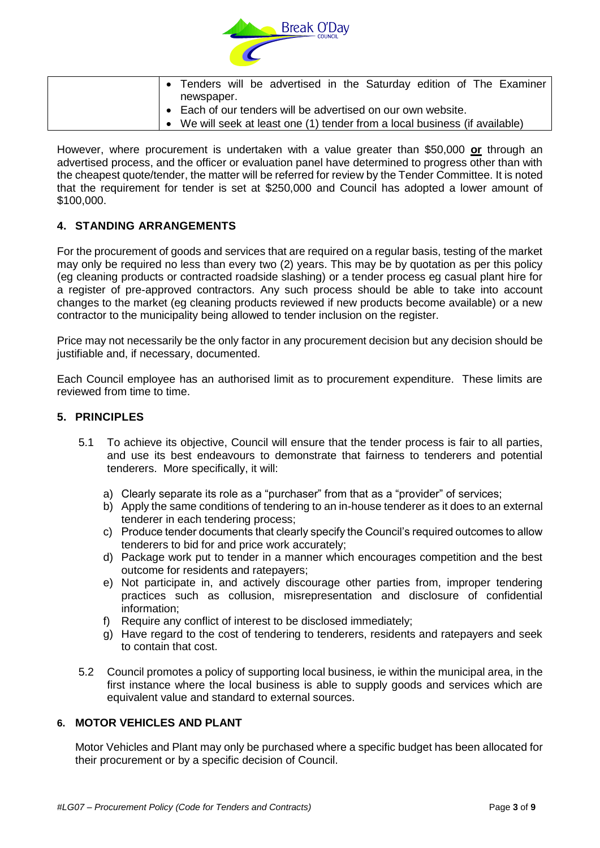

|  |                                                                             |  |  | • Tenders will be advertised in the Saturday edition of The Examiner |  |  |  |  |  |  |  |
|--|-----------------------------------------------------------------------------|--|--|----------------------------------------------------------------------|--|--|--|--|--|--|--|
|  | newspaper.                                                                  |  |  |                                                                      |  |  |  |  |  |  |  |
|  | • Each of our tenders will be advertised on our own website.                |  |  |                                                                      |  |  |  |  |  |  |  |
|  | • We will seek at least one (1) tender from a local business (if available) |  |  |                                                                      |  |  |  |  |  |  |  |

However, where procurement is undertaken with a value greater than \$50,000 **or** through an advertised process, and the officer or evaluation panel have determined to progress other than with the cheapest quote/tender, the matter will be referred for review by the Tender Committee. It is noted that the requirement for tender is set at \$250,000 and Council has adopted a lower amount of \$100,000.

### **4. STANDING ARRANGEMENTS**

For the procurement of goods and services that are required on a regular basis, testing of the market may only be required no less than every two (2) years. This may be by quotation as per this policy (eg cleaning products or contracted roadside slashing) or a tender process eg casual plant hire for a register of pre-approved contractors. Any such process should be able to take into account changes to the market (eg cleaning products reviewed if new products become available) or a new contractor to the municipality being allowed to tender inclusion on the register.

Price may not necessarily be the only factor in any procurement decision but any decision should be justifiable and, if necessary, documented.

Each Council employee has an authorised limit as to procurement expenditure. These limits are reviewed from time to time.

#### **5. PRINCIPLES**

- 5.1 To achieve its objective, Council will ensure that the tender process is fair to all parties, and use its best endeavours to demonstrate that fairness to tenderers and potential tenderers. More specifically, it will:
	- a) Clearly separate its role as a "purchaser" from that as a "provider" of services;
	- b) Apply the same conditions of tendering to an in-house tenderer as it does to an external tenderer in each tendering process;
	- c) Produce tender documents that clearly specify the Council's required outcomes to allow tenderers to bid for and price work accurately;
	- d) Package work put to tender in a manner which encourages competition and the best outcome for residents and ratepayers;
	- e) Not participate in, and actively discourage other parties from, improper tendering practices such as collusion, misrepresentation and disclosure of confidential information;
	- f) Require any conflict of interest to be disclosed immediately;
	- g) Have regard to the cost of tendering to tenderers, residents and ratepayers and seek to contain that cost.
- 5.2 Council promotes a policy of supporting local business, ie within the municipal area, in the first instance where the local business is able to supply goods and services which are equivalent value and standard to external sources.

#### **6. MOTOR VEHICLES AND PLANT**

Motor Vehicles and Plant may only be purchased where a specific budget has been allocated for their procurement or by a specific decision of Council.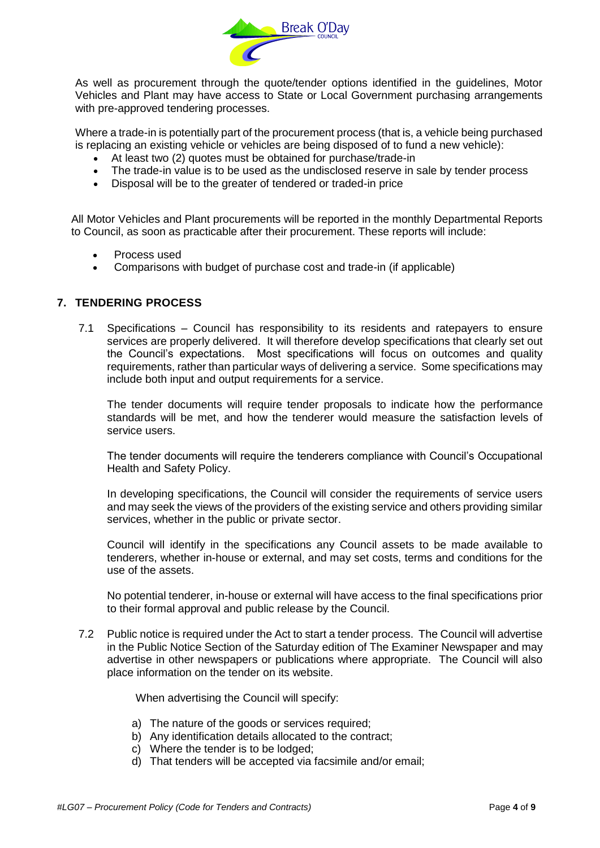

As well as procurement through the quote/tender options identified in the guidelines, Motor Vehicles and Plant may have access to State or Local Government purchasing arrangements with pre-approved tendering processes.

Where a trade-in is potentially part of the procurement process (that is, a vehicle being purchased is replacing an existing vehicle or vehicles are being disposed of to fund a new vehicle):

- At least two (2) quotes must be obtained for purchase/trade-in
- The trade-in value is to be used as the undisclosed reserve in sale by tender process
- Disposal will be to the greater of tendered or traded-in price

All Motor Vehicles and Plant procurements will be reported in the monthly Departmental Reports to Council, as soon as practicable after their procurement. These reports will include:

- Process used
- Comparisons with budget of purchase cost and trade-in (if applicable)

#### **7. TENDERING PROCESS**

7.1 Specifications – Council has responsibility to its residents and ratepayers to ensure services are properly delivered. It will therefore develop specifications that clearly set out the Council's expectations. Most specifications will focus on outcomes and quality requirements, rather than particular ways of delivering a service. Some specifications may include both input and output requirements for a service.

The tender documents will require tender proposals to indicate how the performance standards will be met, and how the tenderer would measure the satisfaction levels of service users.

The tender documents will require the tenderers compliance with Council's Occupational Health and Safety Policy.

In developing specifications, the Council will consider the requirements of service users and may seek the views of the providers of the existing service and others providing similar services, whether in the public or private sector.

Council will identify in the specifications any Council assets to be made available to tenderers, whether in-house or external, and may set costs, terms and conditions for the use of the assets.

No potential tenderer, in-house or external will have access to the final specifications prior to their formal approval and public release by the Council.

7.2 Public notice is required under the Act to start a tender process. The Council will advertise in the Public Notice Section of the Saturday edition of The Examiner Newspaper and may advertise in other newspapers or publications where appropriate. The Council will also place information on the tender on its website.

When advertising the Council will specify:

- a) The nature of the goods or services required;
- b) Any identification details allocated to the contract;
- c) Where the tender is to be lodged;
- d) That tenders will be accepted via facsimile and/or email;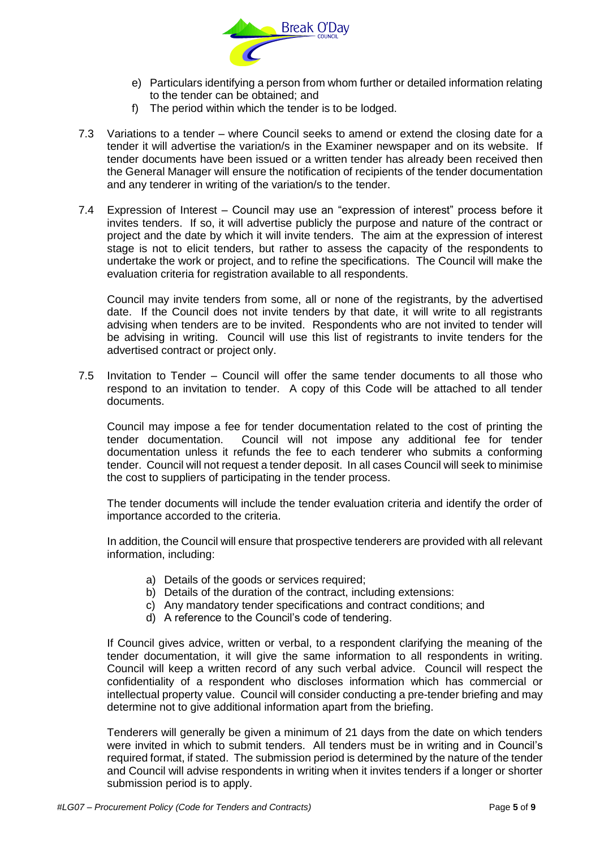

- e) Particulars identifying a person from whom further or detailed information relating to the tender can be obtained; and
- f) The period within which the tender is to be lodged.
- 7.3 Variations to a tender where Council seeks to amend or extend the closing date for a tender it will advertise the variation/s in the Examiner newspaper and on its website. If tender documents have been issued or a written tender has already been received then the General Manager will ensure the notification of recipients of the tender documentation and any tenderer in writing of the variation/s to the tender.
- 7.4 Expression of Interest Council may use an "expression of interest" process before it invites tenders. If so, it will advertise publicly the purpose and nature of the contract or project and the date by which it will invite tenders. The aim at the expression of interest stage is not to elicit tenders, but rather to assess the capacity of the respondents to undertake the work or project, and to refine the specifications. The Council will make the evaluation criteria for registration available to all respondents.

Council may invite tenders from some, all or none of the registrants, by the advertised date. If the Council does not invite tenders by that date, it will write to all registrants advising when tenders are to be invited. Respondents who are not invited to tender will be advising in writing. Council will use this list of registrants to invite tenders for the advertised contract or project only.

7.5 Invitation to Tender – Council will offer the same tender documents to all those who respond to an invitation to tender. A copy of this Code will be attached to all tender documents.

Council may impose a fee for tender documentation related to the cost of printing the tender documentation. Council will not impose any additional fee for tender documentation unless it refunds the fee to each tenderer who submits a conforming tender. Council will not request a tender deposit. In all cases Council will seek to minimise the cost to suppliers of participating in the tender process.

The tender documents will include the tender evaluation criteria and identify the order of importance accorded to the criteria.

In addition, the Council will ensure that prospective tenderers are provided with all relevant information, including:

- a) Details of the goods or services required:
- b) Details of the duration of the contract, including extensions:
- c) Any mandatory tender specifications and contract conditions; and
- d) A reference to the Council's code of tendering.

If Council gives advice, written or verbal, to a respondent clarifying the meaning of the tender documentation, it will give the same information to all respondents in writing. Council will keep a written record of any such verbal advice. Council will respect the confidentiality of a respondent who discloses information which has commercial or intellectual property value. Council will consider conducting a pre-tender briefing and may determine not to give additional information apart from the briefing.

Tenderers will generally be given a minimum of 21 days from the date on which tenders were invited in which to submit tenders. All tenders must be in writing and in Council's required format, if stated. The submission period is determined by the nature of the tender and Council will advise respondents in writing when it invites tenders if a longer or shorter submission period is to apply.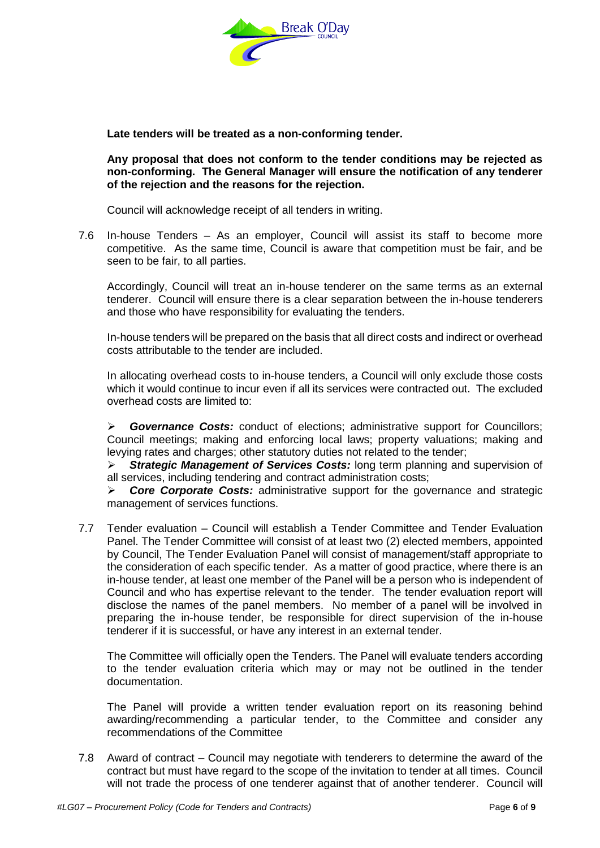

**Late tenders will be treated as a non-conforming tender.**

**Any proposal that does not conform to the tender conditions may be rejected as non-conforming. The General Manager will ensure the notification of any tenderer of the rejection and the reasons for the rejection.**

Council will acknowledge receipt of all tenders in writing.

7.6 In-house Tenders – As an employer, Council will assist its staff to become more competitive. As the same time, Council is aware that competition must be fair, and be seen to be fair, to all parties.

Accordingly, Council will treat an in-house tenderer on the same terms as an external tenderer. Council will ensure there is a clear separation between the in-house tenderers and those who have responsibility for evaluating the tenders.

In-house tenders will be prepared on the basis that all direct costs and indirect or overhead costs attributable to the tender are included.

In allocating overhead costs to in-house tenders, a Council will only exclude those costs which it would continue to incur even if all its services were contracted out. The excluded overhead costs are limited to:

 *Governance Costs:* conduct of elections; administrative support for Councillors; Council meetings; making and enforcing local laws; property valuations; making and levying rates and charges; other statutory duties not related to the tender;

 *Strategic Management of Services Costs:* long term planning and supervision of all services, including tendering and contract administration costs;

 *Core Corporate Costs:* administrative support for the governance and strategic management of services functions.

7.7 Tender evaluation – Council will establish a Tender Committee and Tender Evaluation Panel. The Tender Committee will consist of at least two (2) elected members, appointed by Council, The Tender Evaluation Panel will consist of management/staff appropriate to the consideration of each specific tender. As a matter of good practice, where there is an in-house tender, at least one member of the Panel will be a person who is independent of Council and who has expertise relevant to the tender. The tender evaluation report will disclose the names of the panel members. No member of a panel will be involved in preparing the in-house tender, be responsible for direct supervision of the in-house tenderer if it is successful, or have any interest in an external tender.

The Committee will officially open the Tenders. The Panel will evaluate tenders according to the tender evaluation criteria which may or may not be outlined in the tender documentation.

The Panel will provide a written tender evaluation report on its reasoning behind awarding/recommending a particular tender, to the Committee and consider any recommendations of the Committee

7.8 Award of contract – Council may negotiate with tenderers to determine the award of the contract but must have regard to the scope of the invitation to tender at all times. Council will not trade the process of one tenderer against that of another tenderer. Council will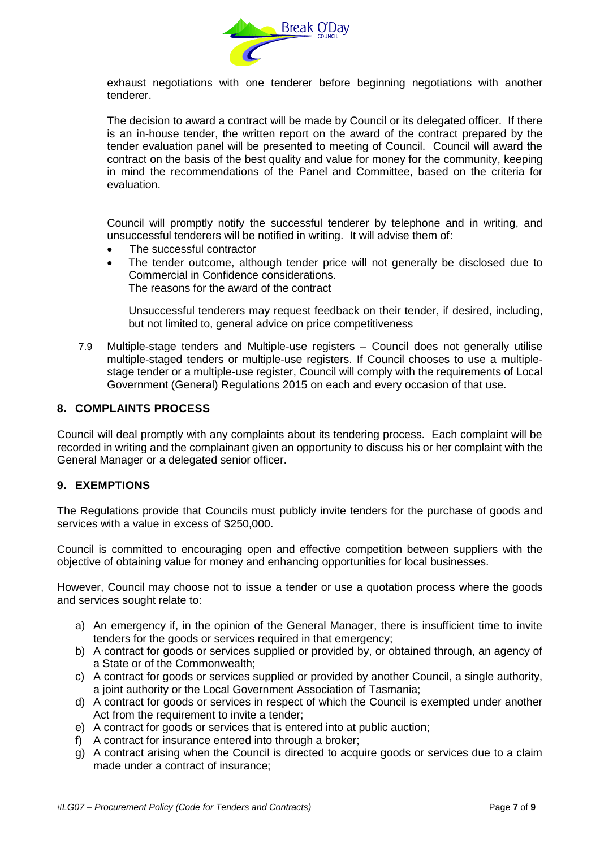

exhaust negotiations with one tenderer before beginning negotiations with another tenderer.

The decision to award a contract will be made by Council or its delegated officer. If there is an in-house tender, the written report on the award of the contract prepared by the tender evaluation panel will be presented to meeting of Council. Council will award the contract on the basis of the best quality and value for money for the community, keeping in mind the recommendations of the Panel and Committee, based on the criteria for evaluation.

Council will promptly notify the successful tenderer by telephone and in writing, and unsuccessful tenderers will be notified in writing. It will advise them of:

- The successful contractor
- The tender outcome, although tender price will not generally be disclosed due to Commercial in Confidence considerations. The reasons for the award of the contract

Unsuccessful tenderers may request feedback on their tender, if desired, including, but not limited to, general advice on price competitiveness

7.9 Multiple-stage tenders and Multiple-use registers – Council does not generally utilise multiple-staged tenders or multiple-use registers. If Council chooses to use a multiplestage tender or a multiple-use register, Council will comply with the requirements of Local Government (General) Regulations 2015 on each and every occasion of that use.

#### **8. COMPLAINTS PROCESS**

Council will deal promptly with any complaints about its tendering process. Each complaint will be recorded in writing and the complainant given an opportunity to discuss his or her complaint with the General Manager or a delegated senior officer.

#### **9. EXEMPTIONS**

The Regulations provide that Councils must publicly invite tenders for the purchase of goods and services with a value in excess of \$250,000.

Council is committed to encouraging open and effective competition between suppliers with the objective of obtaining value for money and enhancing opportunities for local businesses.

However, Council may choose not to issue a tender or use a quotation process where the goods and services sought relate to:

- a) An emergency if, in the opinion of the General Manager, there is insufficient time to invite tenders for the goods or services required in that emergency;
- b) A contract for goods or services supplied or provided by, or obtained through, an agency of a State or of the Commonwealth;
- c) A contract for goods or services supplied or provided by another Council, a single authority, a joint authority or the Local Government Association of Tasmania;
- d) A contract for goods or services in respect of which the Council is exempted under another Act from the requirement to invite a tender:
- e) A contract for goods or services that is entered into at public auction;
- f) A contract for insurance entered into through a broker;
- g) A contract arising when the Council is directed to acquire goods or services due to a claim made under a contract of insurance;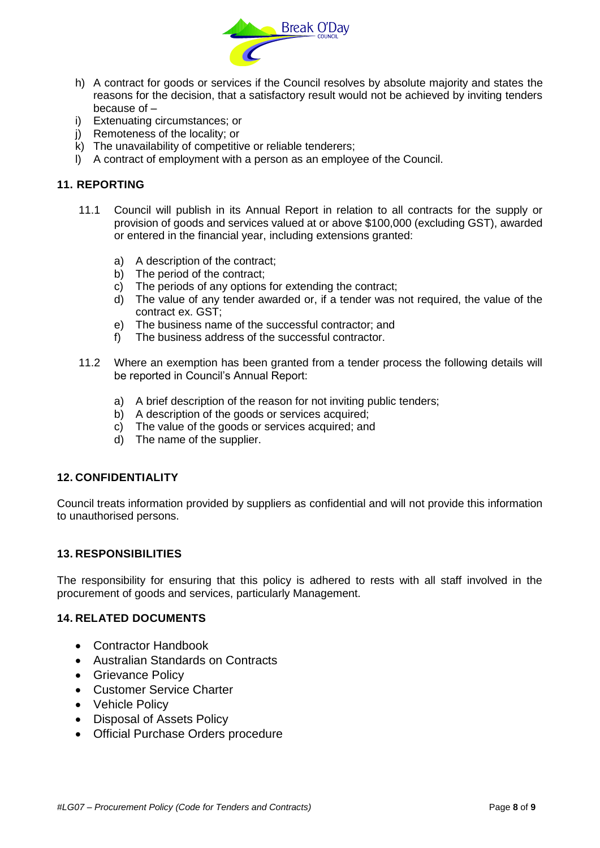

- h) A contract for goods or services if the Council resolves by absolute majority and states the reasons for the decision, that a satisfactory result would not be achieved by inviting tenders because of –
- i) Extenuating circumstances; or
- j) Remoteness of the locality; or
- $k$ ) The unavailability of competitive or reliable tenderers;
- l) A contract of employment with a person as an employee of the Council.

#### **11. REPORTING**

- 11.1 Council will publish in its Annual Report in relation to all contracts for the supply or provision of goods and services valued at or above \$100,000 (excluding GST), awarded or entered in the financial year, including extensions granted:
	- a) A description of the contract;
	- b) The period of the contract;
	- c) The periods of any options for extending the contract;
	- d) The value of any tender awarded or, if a tender was not required, the value of the contract ex. GST;
	- e) The business name of the successful contractor; and
	- f) The business address of the successful contractor.
- 11.2 Where an exemption has been granted from a tender process the following details will be reported in Council's Annual Report:
	- a) A brief description of the reason for not inviting public tenders;
	- b) A description of the goods or services acquired;
	- c) The value of the goods or services acquired; and
	- d) The name of the supplier.

#### **12. CONFIDENTIALITY**

Council treats information provided by suppliers as confidential and will not provide this information to unauthorised persons.

#### **13. RESPONSIBILITIES**

The responsibility for ensuring that this policy is adhered to rests with all staff involved in the procurement of goods and services, particularly Management.

#### **14. RELATED DOCUMENTS**

- Contractor Handbook
- Australian Standards on Contracts
- Grievance Policy
- Customer Service Charter
- Vehicle Policy
- Disposal of Assets Policy
- Official Purchase Orders procedure